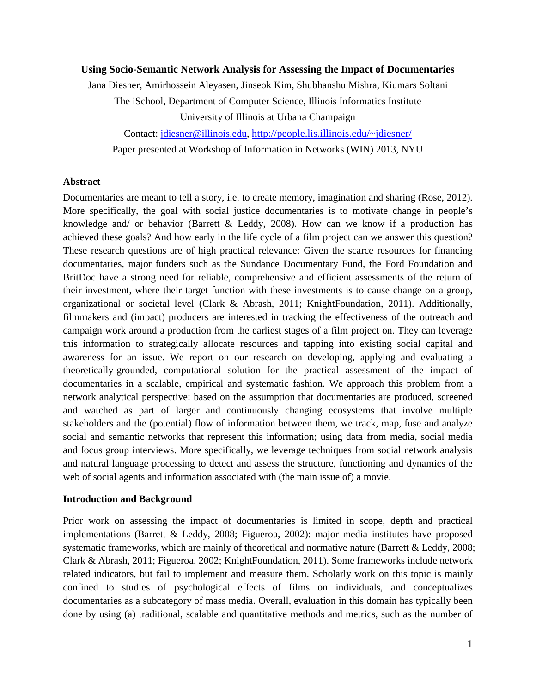### **Using Socio-Semantic Network Analysis for Assessing the Impact of Documentaries**

Jana Diesner, Amirhossein Aleyasen, Jinseok Kim, Shubhanshu Mishra, Kiumars Soltani

The iSchool, Department of Computer Science, Illinois Informatics Institute

University of Illinois at Urbana Champaign

Contact: jdiesner@illinois.edu, http://people.lis.illinois.edu/~jdiesner/

Paper presented at Workshop of Information in Networks (WIN) 2013, NYU

#### **Abstract**

Documentaries are meant to tell a story, i.e. to create memory, imagination and sharing (Rose, 2012). More specifically, the goal with social justice documentaries is to motivate change in people's knowledge and/ or behavior (Barrett  $&$  Leddy, 2008). How can we know if a production has achieved these goals? And how early in the life cycle of a film project can we answer this question? These research questions are of high practical relevance: Given the scarce resources for financing documentaries, major funders such as the Sundance Documentary Fund, the Ford Foundation and BritDoc have a strong need for reliable, comprehensive and efficient assessments of the return of their investment, where their target function with these investments is to cause change on a group, organizational or societal level (Clark & Abrash, 2011; KnightFoundation, 2011). Additionally, filmmakers and (impact) producers are interested in tracking the effectiveness of the outreach and campaign work around a production from the earliest stages of a film project on. They can leverage this information to strategically allocate resources and tapping into existing social capital and awareness for an issue. We report on our research on developing, applying and evaluating a theoretically-grounded, computational solution for the practical assessment of the impact of documentaries in a scalable, empirical and systematic fashion. We approach this problem from a network analytical perspective: based on the assumption that documentaries are produced, screened and watched as part of larger and continuously changing ecosystems that involve multiple stakeholders and the (potential) flow of information between them, we track, map, fuse and analyze social and semantic networks that represent this information; using data from media, social media and focus group interviews. More specifically, we leverage techniques from social network analysis and natural language processing to detect and assess the structure, functioning and dynamics of the web of social agents and information associated with (the main issue of) a movie.

#### **Introduction and Background**

Prior work on assessing the impact of documentaries is limited in scope, depth and practical implementations (Barrett & Leddy, 2008; Figueroa, 2002): major media institutes have proposed systematic frameworks, which are mainly of theoretical and normative nature (Barrett & Leddy, 2008; Clark & Abrash, 2011; Figueroa, 2002; KnightFoundation, 2011). Some frameworks include network related indicators, but fail to implement and measure them. Scholarly work on this topic is mainly confined to studies of psychological effects of films on individuals, and conceptualizes documentaries as a subcategory of mass media. Overall, evaluation in this domain has typically been done by using (a) traditional, scalable and quantitative methods and metrics, such as the number of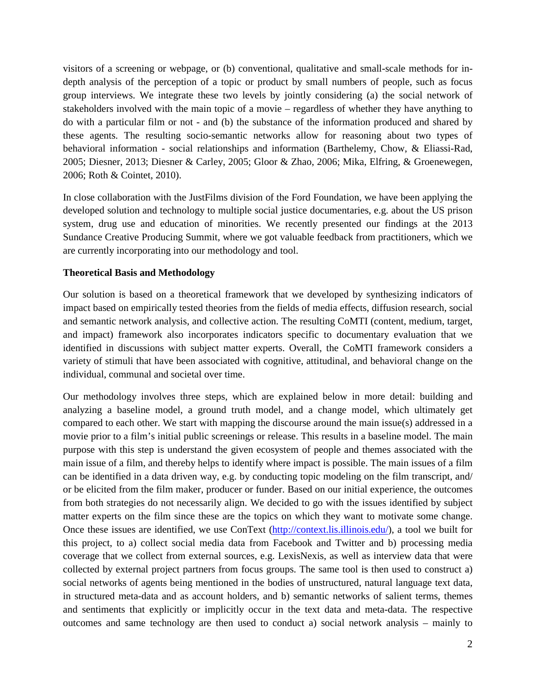visitors of a screening or webpage, or (b) conventional, qualitative and small-scale methods for indepth analysis of the perception of a topic or product by small numbers of people, such as focus group interviews. We integrate these two levels by jointly considering (a) the social network of stakeholders involved with the main topic of a movie – regardless of whether they have anything to do with a particular film or not - and (b) the substance of the information produced and shared by these agents. The resulting socio-semantic networks allow for reasoning about two types of behavioral information - social relationships and information (Barthelemy, Chow, & Eliassi-Rad, 2005; Diesner, 2013; Diesner & Carley, 2005; Gloor & Zhao, 2006; Mika, Elfring, & Groenewegen, 2006; Roth & Cointet, 2010).

In close collaboration with the JustFilms division of the Ford Foundation, we have been applying the developed solution and technology to multiple social justice documentaries, e.g. about the US prison system, drug use and education of minorities. We recently presented our findings at the 2013 Sundance Creative Producing Summit, where we got valuable feedback from practitioners, which we are currently incorporating into our methodology and tool.

## **Theoretical Basis and Methodology**

Our solution is based on a theoretical framework that we developed by synthesizing indicators of impact based on empirically tested theories from the fields of media effects, diffusion research, social and semantic network analysis, and collective action. The resulting CoMTI (content, medium, target, and impact) framework also incorporates indicators specific to documentary evaluation that we identified in discussions with subject matter experts. Overall, the CoMTI framework considers a variety of stimuli that have been associated with cognitive, attitudinal, and behavioral change on the individual, communal and societal over time.

Our methodology involves three steps, which are explained below in more detail: building and analyzing a baseline model, a ground truth model, and a change model, which ultimately get compared to each other. We start with mapping the discourse around the main issue(s) addressed in a movie prior to a film's initial public screenings or release. This results in a baseline model. The main purpose with this step is understand the given ecosystem of people and themes associated with the main issue of a film, and thereby helps to identify where impact is possible. The main issues of a film can be identified in a data driven way, e.g. by conducting topic modeling on the film transcript, and/ or be elicited from the film maker, producer or funder. Based on our initial experience, the outcomes from both strategies do not necessarily align. We decided to go with the issues identified by subject matter experts on the film since these are the topics on which they want to motivate some change. Once these issues are identified, we use ConText (http://context.lis.illinois.edu/), a tool we built for this project, to a) collect social media data from Facebook and Twitter and b) processing media coverage that we collect from external sources, e.g. LexisNexis, as well as interview data that were collected by external project partners from focus groups. The same tool is then used to construct a) social networks of agents being mentioned in the bodies of unstructured, natural language text data, in structured meta-data and as account holders, and b) semantic networks of salient terms, themes and sentiments that explicitly or implicitly occur in the text data and meta-data. The respective outcomes and same technology are then used to conduct a) social network analysis – mainly to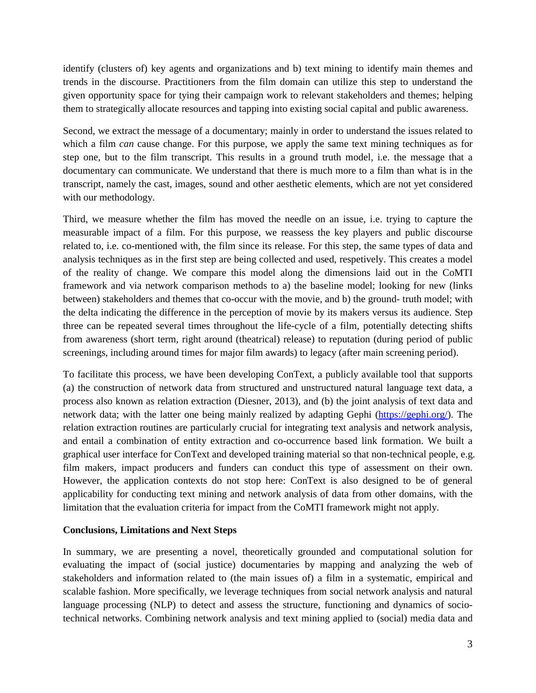identify (clusters of) key agents and organizations and b) text mining to identify main themes and trends in the discourse. Practitioners from the film domain can utilize this step to understand the given opportunity space for tying their campaign work to relevant stakeholders and themes; helping them to strategically allocate resources and tapping into existing social capital and public awareness.

Second, we extract the message of a documentary; mainly in order to understand the issues related to which a film *can* cause change. For this purpose, we apply the same text mining techniques as for step one, but to the film transcript. This results in a ground truth model, i.e. the message that a documentary can communicate. We understand that there is much more to a film than what is in the transcript, namely the cast, images, sound and other aesthetic elements, which are not yet considered with our methodology.

Third, we measure whether the film has moved the needle on an issue, i.e. trying to capture the measurable impact of a film. For this purpose, we reassess the key players and public discourse related to, i.e. co-mentioned with, the film since its release. For this step, the same types of data and analysis techniques as in the first step are being collected and used, respetively. This creates a model of the reality of change. We compare this model along the dimensions laid out in the CoMTI framework and via network comparison methods to a) the baseline model; looking for new (links between) stakeholders and themes that co-occur with the movie, and b) the ground- truth model; with the delta indicating the difference in the perception of movie by its makers versus its audience. Step three can be repeated several times throughout the life-cycle of a film, potentially detecting shifts from awareness (short term, right around (theatrical) release) to reputation (during period of public screenings, including around times for major film awards) to legacy (after main screening period).

To facilitate this process, we have been developing ConText, a publicly available tool that supports (a) the construction of network data from structured and unstructured natural language text data, a process also known as relation extraction (Diesner, 2013), and (b) the joint analysis of text data and network data; with the latter one being mainly realized by adapting Gephi (https://gephi.org/). The relation extraction routines are particularly crucial for integrating text analysis and network analysis, and entail a combination of entity extraction and co-occurrence based link formation. We built a graphical user interface for ConText and developed training material so that non-technical people, e.g. film makers, impact producers and funders can conduct this type of assessment on their own. However, the application contexts do not stop here: ConText is also designed to be of general applicability for conducting text mining and network analysis of data from other domains, with the limitation that the evaluation criteria for impact from the CoMTI framework might not apply.

## **Conclusions, Limitations and Next Steps**

In summary, we are presenting a novel, theoretically grounded and computational solution for evaluating the impact of (social justice) documentaries by mapping and analyzing the web of stakeholders and information related to (the main issues of) a film in a systematic, empirical and scalable fashion. More specifically, we leverage techniques from social network analysis and natural language processing (NLP) to detect and assess the structure, functioning and dynamics of sociotechnical networks. Combining network analysis and text mining applied to (social) media data and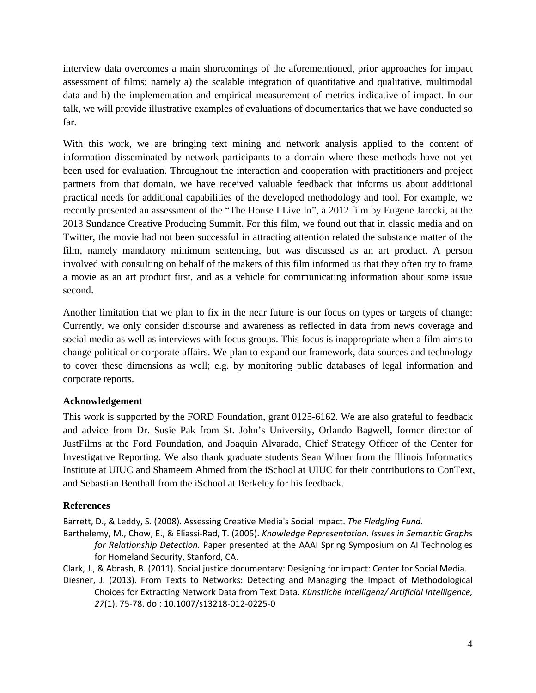interview data overcomes a main shortcomings of the aforementioned, prior approaches for impact assessment of films; namely a) the scalable integration of quantitative and qualitative, multimodal data and b) the implementation and empirical measurement of metrics indicative of impact. In our talk, we will provide illustrative examples of evaluations of documentaries that we have conducted so far.

With this work, we are bringing text mining and network analysis applied to the content of information disseminated by network participants to a domain where these methods have not yet been used for evaluation. Throughout the interaction and cooperation with practitioners and project partners from that domain, we have received valuable feedback that informs us about additional practical needs for additional capabilities of the developed methodology and tool. For example, we recently presented an assessment of the "The House I Live In", a 2012 film by Eugene Jarecki, at the 2013 Sundance Creative Producing Summit. For this film, we found out that in classic media and on Twitter, the movie had not been successful in attracting attention related the substance matter of the film, namely mandatory minimum sentencing, but was discussed as an art product. A person involved with consulting on behalf of the makers of this film informed us that they often try to frame a movie as an art product first, and as a vehicle for communicating information about some issue second.

Another limitation that we plan to fix in the near future is our focus on types or targets of change: Currently, we only consider discourse and awareness as reflected in data from news coverage and social media as well as interviews with focus groups. This focus is inappropriate when a film aims to change political or corporate affairs. We plan to expand our framework, data sources and technology to cover these dimensions as well; e.g. by monitoring public databases of legal information and corporate reports.

# **Acknowledgement**

This work is supported by the FORD Foundation, grant 0125-6162. We are also grateful to feedback and advice from Dr. Susie Pak from St. John's University, Orlando Bagwell, former director of JustFilms at the Ford Foundation, and Joaquin Alvarado, Chief Strategy Officer of the Center for Investigative Reporting. We also thank graduate students Sean Wilner from the Illinois Informatics Institute at UIUC and Shameem Ahmed from the iSchool at UIUC for their contributions to ConText, and Sebastian Benthall from the iSchool at Berkeley for his feedback.

# **References**

Barrett, D., & Leddy, S. (2008). Assessing Creative Media's Social Impact. *The Fledgling Fund*.

Barthelemy, M., Chow, E., & Eliassi-Rad, T. (2005). *Knowledge Representation. Issues in Semantic Graphs for Relationship Detection.* Paper presented at the AAAI Spring Symposium on AI Technologies for Homeland Security, Stanford, CA.

Clark, J., & Abrash, B. (2011). Social justice documentary: Designing for impact: Center for Social Media.

Diesner, J. (2013). From Texts to Networks: Detecting and Managing the Impact of Methodological Choices for Extracting Network Data from Text Data. *Künstliche Intelligenz/ Artificial Intelligence, 27*(1), 75-78. doi: 10.1007/s13218-012-0225-0